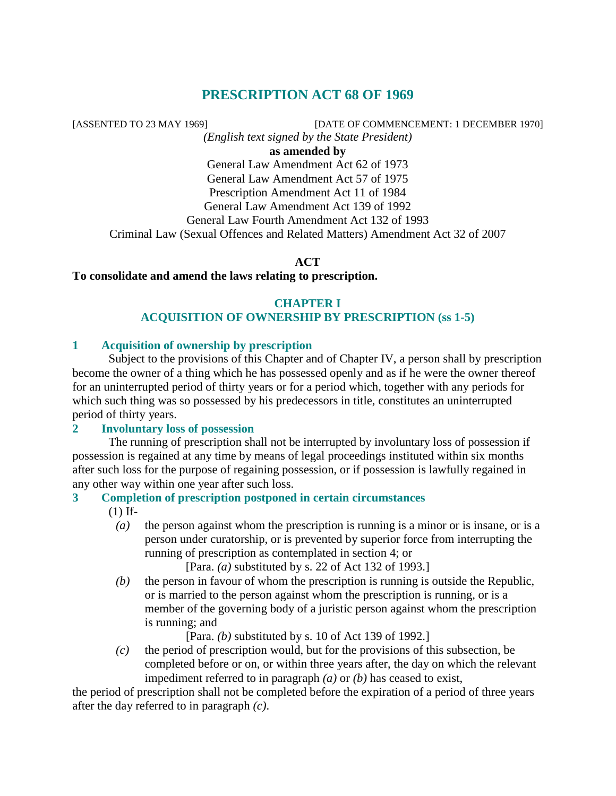# **PRESCRIPTION ACT 68 OF 1969**

[ASSENTED TO 23 MAY 1969] [DATE OF COMMENCEMENT: 1 DECEMBER 1970]

*(English text signed by the State President)* 

**as amended by** 

General Law Amendment Act 62 of 1973 General Law Amendment Act 57 of 1975 Prescription Amendment Act 11 of 1984 General Law Amendment Act 139 of 1992 General Law Fourth Amendment Act 132 of 1993 Criminal Law (Sexual Offences and Related Matters) Amendment Act 32 of 2007

**ACT** 

# **To consolidate and amend the laws relating to prescription.**

### **CHAPTER I ACQUISITION OF OWNERSHIP BY PRESCRIPTION (ss 1-5)**

## **1 Acquisition of ownership by prescription**

 Subject to the provisions of this Chapter and of Chapter IV, a person shall by prescription become the owner of a thing which he has possessed openly and as if he were the owner thereof for an uninterrupted period of thirty years or for a period which, together with any periods for which such thing was so possessed by his predecessors in title, constitutes an uninterrupted period of thirty years.

### **2 Involuntary loss of possession**

 The running of prescription shall not be interrupted by involuntary loss of possession if possession is regained at any time by means of legal proceedings instituted within six months after such loss for the purpose of regaining possession, or if possession is lawfully regained in any other way within one year after such loss.

# **3 Completion of prescription postponed in certain circumstances**

(1) If-

 *(a)* the person against whom the prescription is running is a minor or is insane, or is a person under curatorship, or is prevented by superior force from interrupting the running of prescription as contemplated in section 4; or

[Para. *(a)* substituted by s. 22 of Act 132 of 1993.]

 *(b)* the person in favour of whom the prescription is running is outside the Republic, or is married to the person against whom the prescription is running, or is a member of the governing body of a juristic person against whom the prescription is running; and

[Para. *(b)* substituted by s. 10 of Act 139 of 1992.]

 *(c)* the period of prescription would, but for the provisions of this subsection, be completed before or on, or within three years after, the day on which the relevant impediment referred to in paragraph *(a)* or *(b)* has ceased to exist,

the period of prescription shall not be completed before the expiration of a period of three years after the day referred to in paragraph *(c)*.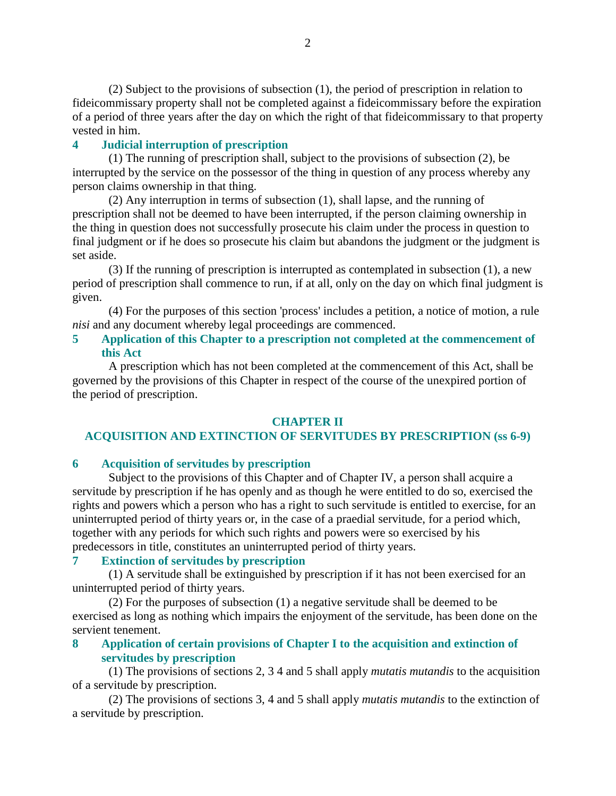(2) Subject to the provisions of subsection (1), the period of prescription in relation to fideicommissary property shall not be completed against a fideicommissary before the expiration of a period of three years after the day on which the right of that fideicommissary to that property vested in him.

## **4 Judicial interruption of prescription**

 (1) The running of prescription shall, subject to the provisions of subsection (2), be interrupted by the service on the possessor of the thing in question of any process whereby any person claims ownership in that thing.

 (2) Any interruption in terms of subsection (1), shall lapse, and the running of prescription shall not be deemed to have been interrupted, if the person claiming ownership in the thing in question does not successfully prosecute his claim under the process in question to final judgment or if he does so prosecute his claim but abandons the judgment or the judgment is set aside.

 (3) If the running of prescription is interrupted as contemplated in subsection (1), a new period of prescription shall commence to run, if at all, only on the day on which final judgment is given.

 (4) For the purposes of this section 'process' includes a petition, a notice of motion, a rule *nisi* and any document whereby legal proceedings are commenced.

### **5 Application of this Chapter to a prescription not completed at the commencement of this Act**

 A prescription which has not been completed at the commencement of this Act, shall be governed by the provisions of this Chapter in respect of the course of the unexpired portion of the period of prescription.

### **CHAPTER II**

# **ACQUISITION AND EXTINCTION OF SERVITUDES BY PRESCRIPTION (ss 6-9)**

### **6 Acquisition of servitudes by prescription**

 Subject to the provisions of this Chapter and of Chapter IV, a person shall acquire a servitude by prescription if he has openly and as though he were entitled to do so, exercised the rights and powers which a person who has a right to such servitude is entitled to exercise, for an uninterrupted period of thirty years or, in the case of a praedial servitude, for a period which, together with any periods for which such rights and powers were so exercised by his predecessors in title, constitutes an uninterrupted period of thirty years.

### **7 Extinction of servitudes by prescription**

 (1) A servitude shall be extinguished by prescription if it has not been exercised for an uninterrupted period of thirty years.

 (2) For the purposes of subsection (1) a negative servitude shall be deemed to be exercised as long as nothing which impairs the enjoyment of the servitude, has been done on the servient tenement.

# **8 Application of certain provisions of Chapter I to the acquisition and extinction of servitudes by prescription**

 (1) The provisions of sections 2, 3 4 and 5 shall apply *mutatis mutandis* to the acquisition of a servitude by prescription.

 (2) The provisions of sections 3, 4 and 5 shall apply *mutatis mutandis* to the extinction of a servitude by prescription.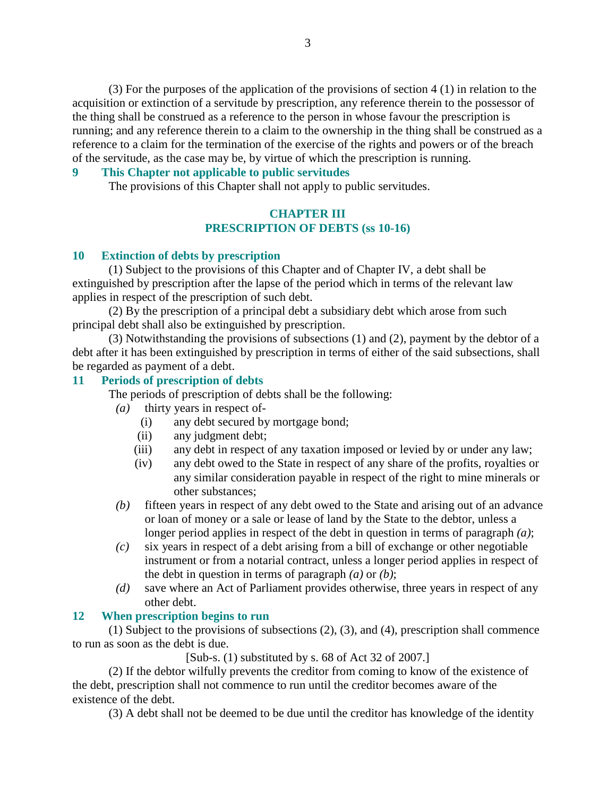(3) For the purposes of the application of the provisions of section 4 (1) in relation to the acquisition or extinction of a servitude by prescription, any reference therein to the possessor of the thing shall be construed as a reference to the person in whose favour the prescription is running; and any reference therein to a claim to the ownership in the thing shall be construed as a reference to a claim for the termination of the exercise of the rights and powers or of the breach of the servitude, as the case may be, by virtue of which the prescription is running.

### **9 This Chapter not applicable to public servitudes**

The provisions of this Chapter shall not apply to public servitudes.

### **CHAPTER III PRESCRIPTION OF DEBTS (ss 10-16)**

### **10 Extinction of debts by prescription**

 (1) Subject to the provisions of this Chapter and of Chapter IV, a debt shall be extinguished by prescription after the lapse of the period which in terms of the relevant law applies in respect of the prescription of such debt.

 (2) By the prescription of a principal debt a subsidiary debt which arose from such principal debt shall also be extinguished by prescription.

 (3) Notwithstanding the provisions of subsections (1) and (2), payment by the debtor of a debt after it has been extinguished by prescription in terms of either of the said subsections, shall be regarded as payment of a debt.

#### **11 Periods of prescription of debts**

The periods of prescription of debts shall be the following:

- *(a)* thirty years in respect of-
	- (i) any debt secured by mortgage bond;
	- (ii) any judgment debt;
	- (iii) any debt in respect of any taxation imposed or levied by or under any law;
	- (iv) any debt owed to the State in respect of any share of the profits, royalties or any similar consideration payable in respect of the right to mine minerals or other substances;
- *(b)* fifteen years in respect of any debt owed to the State and arising out of an advance or loan of money or a sale or lease of land by the State to the debtor, unless a longer period applies in respect of the debt in question in terms of paragraph *(a)*;
- *(c)* six years in respect of a debt arising from a bill of exchange or other negotiable instrument or from a notarial contract, unless a longer period applies in respect of the debt in question in terms of paragraph *(a)* or *(b)*;
- *(d)* save where an Act of Parliament provides otherwise, three years in respect of any other debt.

#### **12 When prescription begins to run**

 (1) Subject to the provisions of subsections (2), (3), and (4), prescription shall commence to run as soon as the debt is due.

[Sub-s. (1) substituted by s. 68 of Act 32 of 2007.]

 (2) If the debtor wilfully prevents the creditor from coming to know of the existence of the debt, prescription shall not commence to run until the creditor becomes aware of the existence of the debt.

(3) A debt shall not be deemed to be due until the creditor has knowledge of the identity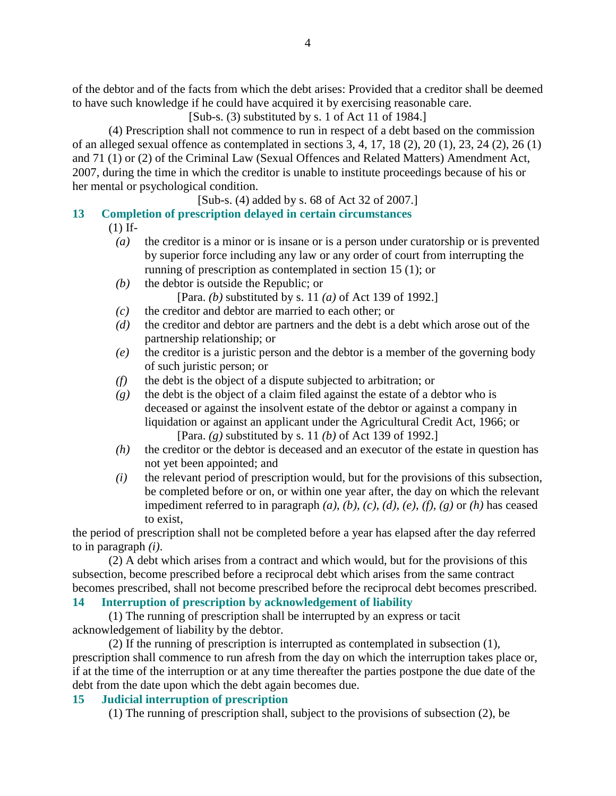of the debtor and of the facts from which the debt arises: Provided that a creditor shall be deemed to have such knowledge if he could have acquired it by exercising reasonable care.

[Sub-s. (3) substituted by s. 1 of Act 11 of 1984.]

 (4) Prescription shall not commence to run in respect of a debt based on the commission of an alleged sexual offence as contemplated in sections 3, 4, 17, 18 (2), 20 (1), 23, 24 (2), 26 (1) and 71 (1) or (2) of the Criminal Law (Sexual Offences and Related Matters) Amendment Act, 2007, during the time in which the creditor is unable to institute proceedings because of his or her mental or psychological condition.

[Sub-s. (4) added by s. 68 of Act 32 of 2007.]

# **13 Completion of prescription delayed in certain circumstances**

(1) If-

- *(a)* the creditor is a minor or is insane or is a person under curatorship or is prevented by superior force including any law or any order of court from interrupting the running of prescription as contemplated in section 15 (1); or
- *(b)* the debtor is outside the Republic; or [Para. *(b)* substituted by s. 11 *(a)* of Act 139 of 1992.]
- *(c)* the creditor and debtor are married to each other; or
- *(d)* the creditor and debtor are partners and the debt is a debt which arose out of the partnership relationship; or
- *(e)* the creditor is a juristic person and the debtor is a member of the governing body of such juristic person; or
- *(f)* the debt is the object of a dispute subjected to arbitration; or
- *(g)* the debt is the object of a claim filed against the estate of a debtor who is deceased or against the insolvent estate of the debtor or against a company in liquidation or against an applicant under the Agricultural Credit Act, 1966; or [Para. *(g)* substituted by s. 11 *(b)* of Act 139 of 1992.]
- *(h)* the creditor or the debtor is deceased and an executor of the estate in question has not yet been appointed; and
- *(i)* the relevant period of prescription would, but for the provisions of this subsection, be completed before or on, or within one year after, the day on which the relevant impediment referred to in paragraph *(a)*, *(b)*, *(c)*, *(d)*, *(e)*, *(f)*, *(g)* or *(h)* has ceased to exist,

the period of prescription shall not be completed before a year has elapsed after the day referred to in paragraph *(i)*.

 (2) A debt which arises from a contract and which would, but for the provisions of this subsection, become prescribed before a reciprocal debt which arises from the same contract becomes prescribed, shall not become prescribed before the reciprocal debt becomes prescribed.

# **14 Interruption of prescription by acknowledgement of liability**

 (1) The running of prescription shall be interrupted by an express or tacit acknowledgement of liability by the debtor.

 (2) If the running of prescription is interrupted as contemplated in subsection (1), prescription shall commence to run afresh from the day on which the interruption takes place or, if at the time of the interruption or at any time thereafter the parties postpone the due date of the debt from the date upon which the debt again becomes due.

# **15 Judicial interruption of prescription**

(1) The running of prescription shall, subject to the provisions of subsection (2), be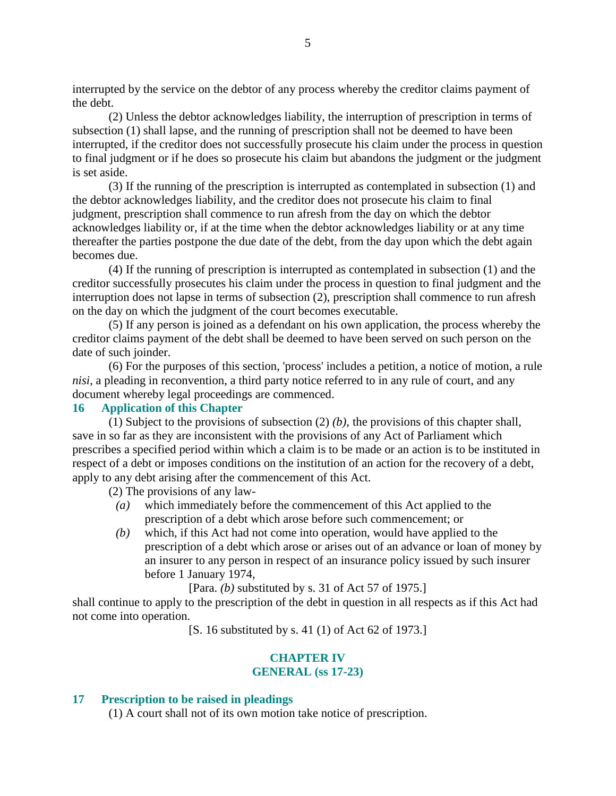interrupted by the service on the debtor of any process whereby the creditor claims payment of the debt.

 (2) Unless the debtor acknowledges liability, the interruption of prescription in terms of subsection (1) shall lapse, and the running of prescription shall not be deemed to have been interrupted, if the creditor does not successfully prosecute his claim under the process in question to final judgment or if he does so prosecute his claim but abandons the judgment or the judgment is set aside.

 (3) If the running of the prescription is interrupted as contemplated in subsection (1) and the debtor acknowledges liability, and the creditor does not prosecute his claim to final judgment, prescription shall commence to run afresh from the day on which the debtor acknowledges liability or, if at the time when the debtor acknowledges liability or at any time thereafter the parties postpone the due date of the debt, from the day upon which the debt again becomes due.

 (4) If the running of prescription is interrupted as contemplated in subsection (1) and the creditor successfully prosecutes his claim under the process in question to final judgment and the interruption does not lapse in terms of subsection (2), prescription shall commence to run afresh on the day on which the judgment of the court becomes executable.

 (5) If any person is joined as a defendant on his own application, the process whereby the creditor claims payment of the debt shall be deemed to have been served on such person on the date of such joinder.

 (6) For the purposes of this section, 'process' includes a petition, a notice of motion, a rule *nisi*, a pleading in reconvention, a third party notice referred to in any rule of court, and any document whereby legal proceedings are commenced.

### **16 Application of this Chapter**

 (1) Subject to the provisions of subsection (2) *(b)*, the provisions of this chapter shall, save in so far as they are inconsistent with the provisions of any Act of Parliament which prescribes a specified period within which a claim is to be made or an action is to be instituted in respect of a debt or imposes conditions on the institution of an action for the recovery of a debt, apply to any debt arising after the commencement of this Act.

(2) The provisions of any law-

- *(a)* which immediately before the commencement of this Act applied to the prescription of a debt which arose before such commencement; or
- *(b)* which, if this Act had not come into operation, would have applied to the prescription of a debt which arose or arises out of an advance or loan of money by an insurer to any person in respect of an insurance policy issued by such insurer before 1 January 1974,

[Para. *(b)* substituted by s. 31 of Act 57 of 1975.]

shall continue to apply to the prescription of the debt in question in all respects as if this Act had not come into operation.

[S. 16 substituted by s. 41 (1) of Act 62 of 1973.]

### **CHAPTER IV GENERAL (ss 17-23)**

#### **17 Prescription to be raised in pleadings**

(1) A court shall not of its own motion take notice of prescription.